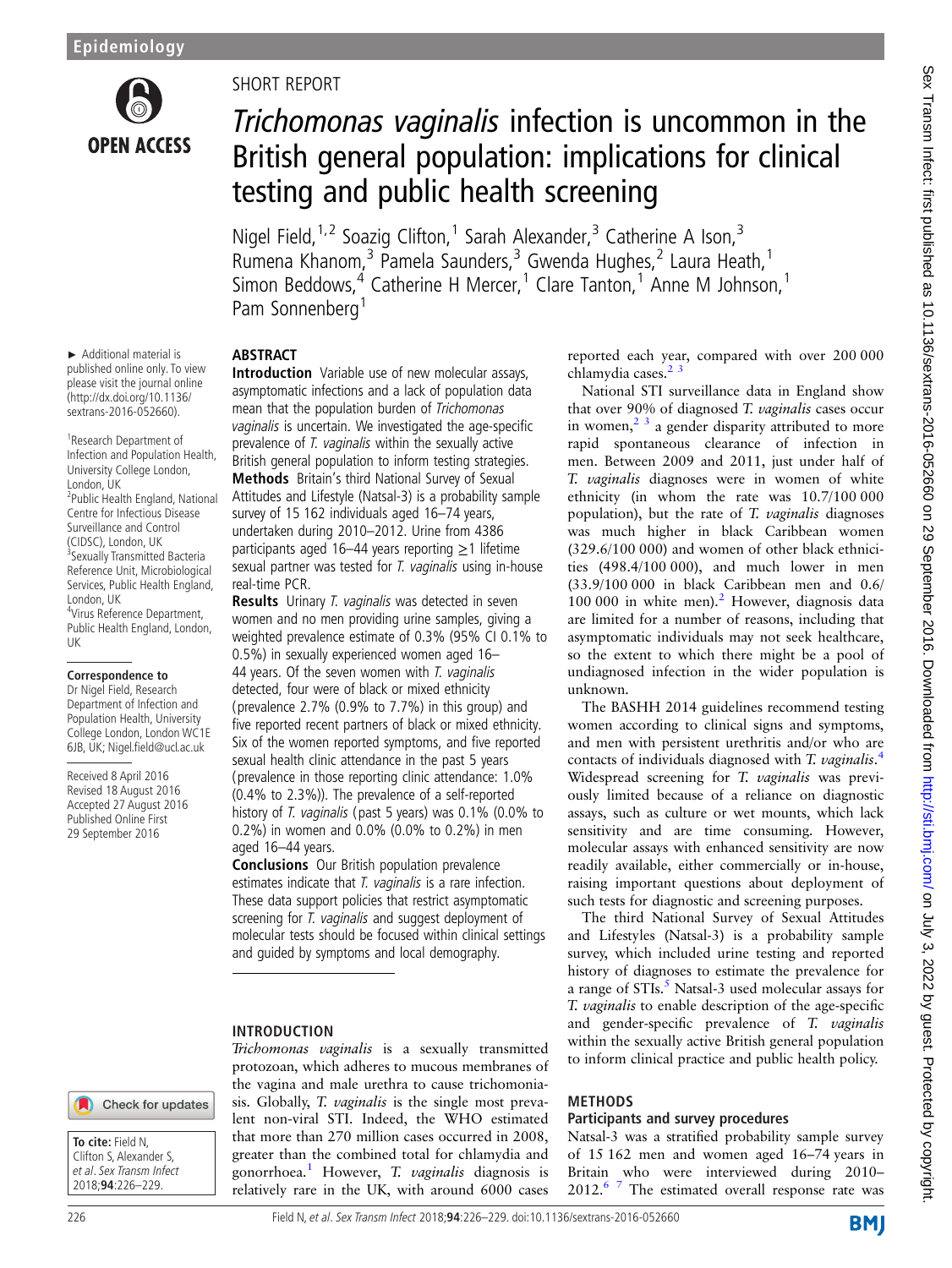

► Additional material is published online only. To view please visit the journal online (http://dx.doi.org/10.1136/ sextrans-2016-052660). <sup>1</sup> Research Department of Infection and Population Health, University College London,

<sup>2</sup>Public Health England, National Centre for Infectious Disease Surveillance and Control (CIDSC), London, UK <sup>3</sup>Sexually Transmitted Bacteria Reference Unit, Microbiological Services, Public Health England,

4 Virus Reference Department, Public Health England, London,

**Correspondence to** Dr Nigel Field, Research Department of Infection and Population Health, University College London, London WC1E 6JB, UK; Nigel.field@ucl.ac.uk

Received 8 April 2016 Revised 18 August 2016 Accepted 27 August 2016 Published Online First 29 September 2016

London, UK

London, UK

UK

## SHORT REPORT

# Trichomonas vaginalis infection is uncommon in the British general population: implications for clinical testing and public health screening

Nigel Field,<sup>1,2</sup> Soazig Clifton,<sup>1</sup> Sarah Alexander,<sup>3</sup> Catherine A Ison,<sup>3</sup> Rumena Khanom,<sup>3</sup> Pamela Saunders,<sup>3</sup> Gwenda Hughes,<sup>2</sup> Laura Heath,<sup>1</sup> Simon Beddows, $4^4$  Catherine H Mercer,<sup>1</sup> Clare Tanton,<sup>1</sup> Anne M Johnson,<sup>1</sup> Pam Sonnenberg<sup>1</sup>

## ABSTRACT

Introduction Variable use of new molecular assays, asymptomatic infections and a lack of population data mean that the population burden of Trichomonas vaginalis is uncertain. We investigated the age-specific prevalence of T. vaginalis within the sexually active British general population to inform testing strategies. Methods Britain's third National Survey of Sexual Attitudes and Lifestyle (Natsal-3) is a probability sample survey of 15 162 individuals aged 16–74 years, undertaken during 2010–2012. Urine from 4386 participants aged 16–44 years reporting  $\geq$ 1 lifetime sexual partner was tested for T. vaginalis using in-house real-time PCR.

Results Urinary T. vaginalis was detected in seven women and no men providing urine samples, giving a weighted prevalence estimate of 0.3% (95% CI 0.1% to 0.5%) in sexually experienced women aged 16– 44 years. Of the seven women with T. vaginalis detected, four were of black or mixed ethnicity (prevalence 2.7% (0.9% to 7.7%) in this group) and five reported recent partners of black or mixed ethnicity. Six of the women reported symptoms, and five reported sexual health clinic attendance in the past 5 years (prevalence in those reporting clinic attendance: 1.0% (0.4% to 2.3%)). The prevalence of a self-reported history of T. vaginalis (past 5 years) was 0.1% (0.0% to 0.2%) in women and 0.0% (0.0% to 0.2%) in men aged 16–44 years.

Conclusions Our British population prevalence estimates indicate that T. vaginalis is a rare infection. These data support policies that restrict asymptomatic screening for T. vaginalis and suggest deployment of molecular tests should be focused within clinical settings and guided by symptoms and local demography.

## INTRODUCTION

Trichomonas vaginalis is a sexually transmitted protozoan, which adheres to mucous membranes of the vagina and male urethra to cause trichomoniasis. Globally, T. vaginalis is the single most prevalent non-viral STI. Indeed, the WHO estimated that more than 270 million cases occurred in 2008, greater than the combined total for chlamydia and gonorrhoea.<sup>[1](#page-3-0)</sup> However, T. *vaginalis* diagnosis is relatively rare in the UK, with around 6000 cases reported each year, compared with over 200 000 chlamydia cases.<sup>2</sup>

National STI surveillance data in England show that over 90% of diagnosed T. vaginalis cases occur in women,  $2^3$  a gender disparity attributed to more rapid spontaneous clearance of infection in men. Between 2009 and 2011, just under half of T. vaginalis diagnoses were in women of white ethnicity (in whom the rate was 10.7/100 000 population), but the rate of T. vaginalis diagnoses was much higher in black Caribbean women (329.6/100 000) and women of other black ethnicities (498.4/100 000), and much lower in men (33.9/100 000 in black Caribbean men and 0.6/ 100 000 in white men).<sup>[2](#page-3-0)</sup> However, diagnosis data are limited for a number of reasons, including that asymptomatic individuals may not seek healthcare, so the extent to which there might be a pool of undiagnosed infection in the wider population is unknown.

The BASHH 2014 guidelines recommend testing women according to clinical signs and symptoms, and men with persistent urethritis and/or who are contacts of individuals diagnosed with T. vaginalis.<sup>[4](#page-3-0)</sup><br>Widespread screening for T. vaginalis was previ-Widespread screening for T. vaginalis was previously limited because of a reliance on diagnostic assays, such as culture or wet mounts, which lack sensitivity and are time consuming. However, molecular assays with enhanced sensitivity are now readily available, either commercially or in-house, raising important questions about deployment of such tests for diagnostic and screening purposes.

The third National Survey of Sexual Attitudes and Lifestyles (Natsal-3) is a probability sample survey, which included urine testing and reported history of diagnoses to estimate the prevalence for a range of  $STIs$ <sup>[5](#page-3-0)</sup>. Natsal-3 used molecular assays for T. vaginalis to enable description of the age-specifi<sup>c</sup> and gender-specific prevalence of T. vaginalis within the sexually active British general population to inform clinical practice and public health policy.

#### METHODS

#### Participants and survey procedures

Natsal-3 was a stratified probability sample survey of 15 162 men and women aged 16–74 years in Britain who were interviewed during 2010– 2012.<sup>[6 7](#page-3-0)</sup> The estimated overall response rate was

# Check for updates

**To cite:** Field N, Clifton S, Alexander S, et al. Sex Transm Infect 2018;**94**:226–229.

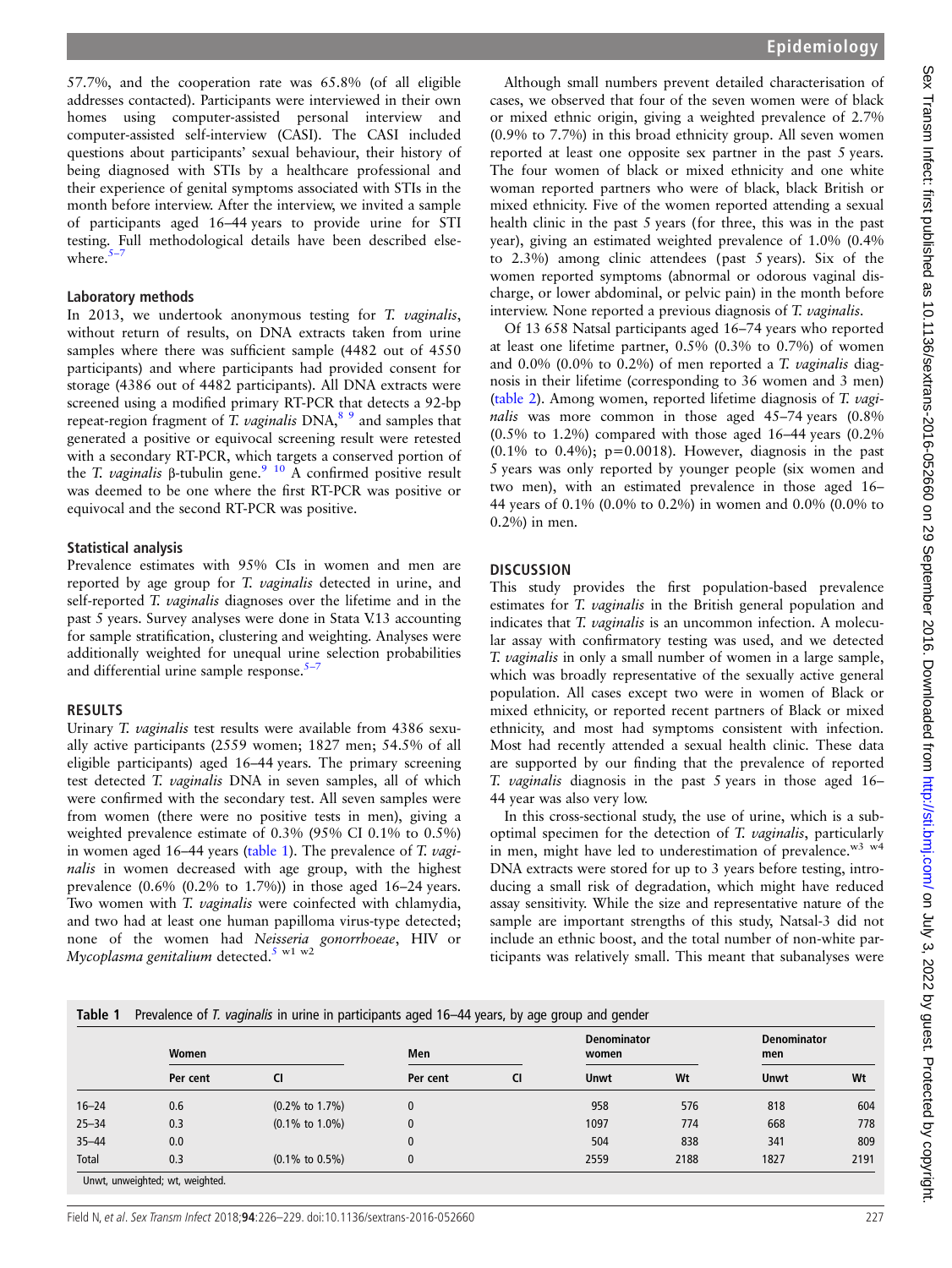57.7%, and the cooperation rate was 65.8% (of all eligible addresses contacted). Participants were interviewed in their own homes using computer-assisted personal interview and computer-assisted self-interview (CASI). The CASI included questions about participants' sexual behaviour, their history of being diagnosed with STIs by a healthcare professional and their experience of genital symptoms associated with STIs in the month before interview. After the interview, we invited a sample of participants aged 16–44 years to provide urine for STI testing. Full methodological details have been described elsewhere. $5$ 

#### Laboratory methods

In 2013, we undertook anonymous testing for T. vaginalis, without return of results, on DNA extracts taken from urine samples where there was sufficient sample (4482 out of 4550 participants) and where participants had provided consent for storage (4386 out of 4482 participants). All DNA extracts were screened using a modified primary RT-PCR that detects a 92-bp repeat-region fragment of T. vaginalis  $DNA<sup>89</sup>$  and samples that generated a positive or equivocal screening result were retested with a secondary RT-PCR, which targets a conserved portion of the T. vaginalis β-tubulin gene.<sup>9</sup> <sup>10</sup> A confirmed positive result was deemed to be one where the first RT-PCR was positive or equivocal and the second RT-PCR was positive.

#### Statistical analysis

Prevalence estimates with 95% CIs in women and men are reported by age group for T. vaginalis detected in urine, and<br>self-reported T. vaginalis diagnoses over the lifetime and in the self-reported T. *vaginalis* diagnoses over the lifetime and in the<br>past 5 years. Survey analyses were done in Stata V13 accounting past 5 years. Survey analyses were done in Stata V.13 accounting for sample stratification, clustering and weighting. Analyses were additionally weighted for unequal urine selection probabilities and differential urine sample response. $5 5-$ 

#### RESULTS

Urinary T. vaginalis test results were available from 4386 sexually active participants (2559 women; 1827 men; 54.5% of all eligible participants) aged 16–44 years. The primary screening test detected T. vaginalis DNA in seven samples, all of which were confirmed with the secondary test. All seven samples were from women (there were no positive tests in men), giving a weighted prevalence estimate of 0.3% (95% CI 0.1% to 0.5%) in women aged 16–44 years (table 1). The prevalence of T. vaginalis in women decreased with age group, with the highest prevalence (0.6% (0.2% to 1.7%)) in those aged 16–24 years. Two women with T. *vaginalis* were coinfected with chlamydia, and two had at least one human papilloma virus-type detected; none of the women had N[eis](#page-3-0)seria gonorrhoeae, HIV or Mycoplasma genitalium detected.<sup>5 w1 w2</sup>

Although small numbers prevent detailed characterisation of cases, we observed that four of the seven women were of black or mixed ethnic origin, giving a weighted prevalence of 2.7% (0.9% to 7.7%) in this broad ethnicity group. All seven women reported at least one opposite sex partner in the past 5 years. The four women of black or mixed ethnicity and one white woman reported partners who were of black, black British or mixed ethnicity. Five of the women reported attending a sexual health clinic in the past 5 years (for three, this was in the past year), giving an estimated weighted prevalence of 1.0% (0.4% to 2.3%) among clinic attendees (past 5 years). Six of the women reported symptoms (abnormal or odorous vaginal discharge, or lower abdominal, or pelvic pain) in the month before interview. None reported a previous diagnosis of T. vaginalis.

Of 13 658 Natsal participants aged 16–74 years who reported at least one lifetime partner, 0.5% (0.3% to 0.7%) of women and 0.0% (0.0% to 0.2%) of men reported a T. vaginalis diagnosis in their lifetime (corresponding to 36 women and 3 men) ([table 2\)](#page-2-0). Among women, reported lifetime diagnosis of T. vaginalis was more common in those aged 45–74 years  $(0.8\%$ (0.5% to 1.2%) compared with those aged 16–44 years (0.2%  $(0.1\%$  to  $0.4\%$ ; p=0.0018). However, diagnosis in the past 5 years was only reported by younger people (six women and two men), with an estimated prevalence in those aged 16– 44 years of 0.1% (0.0% to 0.2%) in women and 0.0% (0.0% to 0.2%) in men.

### **DISCUSSION**

This study provides the first population-based prevalence estimates for T. vaginalis in the British general population and indicates that T. vaginalis is an uncommon infection. A molecular assay with confirmatory testing was used, and we detected T. vaginalis in only a small number of women in a large sample, which was broadly representative of the sexually active general population. All cases except two were in women of Black or mixed ethnicity, or reported recent partners of Black or mixed ethnicity, and most had symptoms consistent with infection. Most had recently attended a sexual health clinic. These data are supported by our finding that the prevalence of reported T. vaginalis diagnosis in the past 5 years in those aged 16– 44 year was also very low.

In this cross-sectional study, the use of urine, which is a suboptimal specimen for the detection of T. vaginalis, particularly in men, might have led to underestimation of prevalence.<sup>w3 w4</sup> DNA extracts were stored for up to 3 years before testing, introducing a small risk of degradation, which might have reduced assay sensitivity. While the size and representative nature of the sample are important strengths of this study, Natsal-3 did not include an ethnic boost, and the total number of non-white participants was relatively small. This meant that subanalyses were

| Table 1 Prevalence of T. vaginalis in urine in participants aged 16-44 years, by age group and gender |  |
|-------------------------------------------------------------------------------------------------------|--|
| Demonstration                                                                                         |  |

|           | Women                                    |                             | <b>Men</b> |    | <b>Denominator</b><br>women |      | <b>Denominator</b><br>men |      |
|-----------|------------------------------------------|-----------------------------|------------|----|-----------------------------|------|---------------------------|------|
|           | Per cent                                 | CI                          | Per cent   | CI | <b>Unwt</b>                 | Wt   | <b>Unwt</b>               | Wt   |
| $16 - 24$ | 0.6                                      | $(0.2\% \text{ to } 1.7\%)$ |            |    | 958                         | 576  | 818                       | 604  |
| $25 - 34$ | 0.3                                      | $(0.1\% \text{ to } 1.0\%)$ |            |    | 1097                        | 774  | 668                       | 778  |
| $35 - 44$ | 0.0                                      |                             |            |    | 504                         | 838  | 341                       | 809  |
| Total     | 0.3                                      | $(0.1\% \text{ to } 0.5\%)$ |            |    | 2559                        | 2188 | 1827                      | 2191 |
|           | الممعولون وبريد والمعطولون وبورد والمراح |                             |            |    |                             |      |                           |      |

unweighted; wt, weighted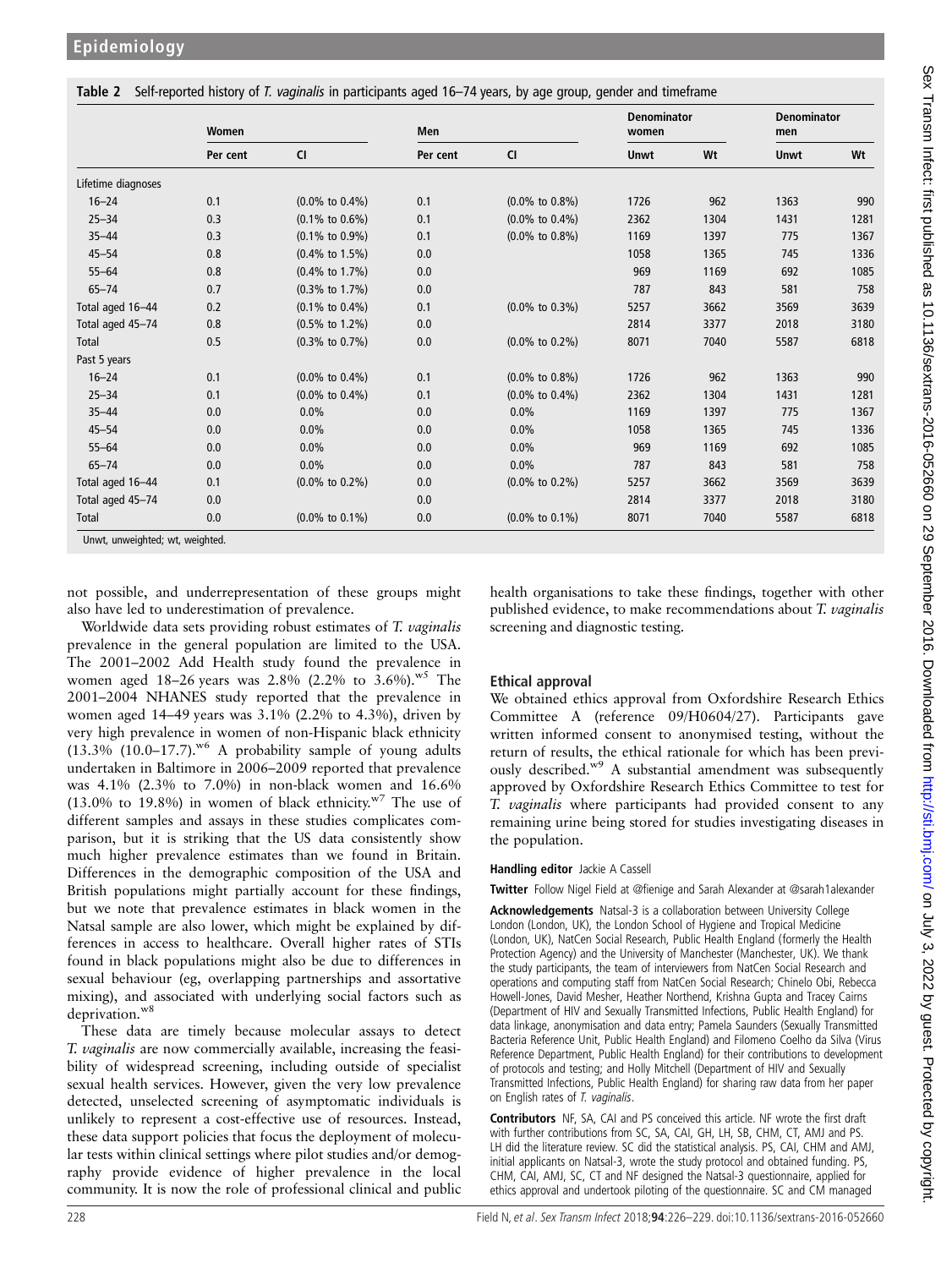<span id="page-2-0"></span>

| Table 2 Self-reported history of T. vaginalis in participants aged 16-74 years, by age group, gender and timeframe |  |  |
|--------------------------------------------------------------------------------------------------------------------|--|--|
|                                                                                                                    |  |  |

|                                     | Women    |                             | Men      |                             | <b>Denominator</b><br>women |      | <b>Denominator</b><br>men |      |
|-------------------------------------|----------|-----------------------------|----------|-----------------------------|-----------------------------|------|---------------------------|------|
|                                     | Per cent | <b>CI</b>                   | Per cent | <b>CI</b>                   | Unwt                        | Wt   | <b>Unwt</b>               | Wt   |
| Lifetime diagnoses                  |          |                             |          |                             |                             |      |                           |      |
| $16 - 24$                           | 0.1      | $(0.0\% \text{ to } 0.4\%)$ | 0.1      | $(0.0\% \text{ to } 0.8\%)$ | 1726                        | 962  | 1363                      | 990  |
| $25 - 34$                           | 0.3      | $(0.1\% \text{ to } 0.6\%)$ | 0.1      | $(0.0\% \text{ to } 0.4\%)$ | 2362                        | 1304 | 1431                      | 1281 |
| $35 - 44$                           | 0.3      | $(0.1\% \text{ to } 0.9\%)$ | 0.1      | $(0.0\% \text{ to } 0.8\%)$ | 1169                        | 1397 | 775                       | 1367 |
| $45 - 54$                           | 0.8      | $(0.4\% \text{ to } 1.5\%)$ | 0.0      |                             | 1058                        | 1365 | 745                       | 1336 |
| $55 - 64$                           | 0.8      | $(0.4\% \text{ to } 1.7\%)$ | 0.0      |                             | 969                         | 1169 | 692                       | 1085 |
| $65 - 74$                           | 0.7      | $(0.3\% \text{ to } 1.7\%)$ | 0.0      |                             | 787                         | 843  | 581                       | 758  |
| Total aged 16-44                    | 0.2      | $(0.1\% \text{ to } 0.4\%)$ | 0.1      | $(0.0\% \text{ to } 0.3\%)$ | 5257                        | 3662 | 3569                      | 3639 |
| Total aged 45-74                    | 0.8      | $(0.5\% \text{ to } 1.2\%)$ | 0.0      |                             | 2814                        | 3377 | 2018                      | 3180 |
| Total                               | 0.5      | $(0.3\% \text{ to } 0.7\%)$ | 0.0      | $(0.0\% \text{ to } 0.2\%)$ | 8071                        | 7040 | 5587                      | 6818 |
| Past 5 years                        |          |                             |          |                             |                             |      |                           |      |
| $16 - 24$                           | 0.1      | $(0.0\% \text{ to } 0.4\%)$ | 0.1      | $(0.0\% \text{ to } 0.8\%)$ | 1726                        | 962  | 1363                      | 990  |
| $25 - 34$                           | 0.1      | $(0.0\% \text{ to } 0.4\%)$ | 0.1      | $(0.0\% \text{ to } 0.4\%)$ | 2362                        | 1304 | 1431                      | 1281 |
| $35 - 44$                           | 0.0      | 0.0%                        | 0.0      | 0.0%                        | 1169                        | 1397 | 775                       | 1367 |
| $45 - 54$                           | 0.0      | $0.0\%$                     | 0.0      | 0.0%                        | 1058                        | 1365 | 745                       | 1336 |
| $55 - 64$                           | 0.0      | 0.0%                        | 0.0      | 0.0%                        | 969                         | 1169 | 692                       | 1085 |
| $65 - 74$                           | 0.0      | $0.0\%$                     | 0.0      | 0.0%                        | 787                         | 843  | 581                       | 758  |
| Total aged 16-44                    | 0.1      | $(0.0\% \text{ to } 0.2\%)$ | 0.0      | $(0.0\% \text{ to } 0.2\%)$ | 5257                        | 3662 | 3569                      | 3639 |
| Total aged 45-74                    | 0.0      |                             | 0.0      |                             | 2814                        | 3377 | 2018                      | 3180 |
| Total<br>Lout unwighted wt woighted | 0.0      | $(0.0\% \text{ to } 0.1\%)$ | 0.0      | $(0.0\% \text{ to } 0.1\%)$ | 8071                        | 7040 | 5587                      | 6818 |

Unwt, unweighted; wt, weighted.

not possible, and underrepresentation of these groups might also have led to underestimation of prevalence.

Worldwide data sets providing robust estimates of T. vaginalis prevalence in the general population are limited to the USA. The 2001–2002 Add Health study found the prevalence in women aged 18–26 years was 2.8% (2.2% to 3.6%).<sup>w5</sup> The 2001–2004 NHANES study reported that the prevalence in women aged 14–49 years was 3.1% (2.2% to 4.3%), driven by very high prevalence in women of non-Hispanic black ethnicity  $(13.3\%$   $(10.0-17.7)$ .<sup>w6</sup> A probability sample of young adults undertaken in Baltimore in 2006–2009 reported that prevalence was 4.1% (2.3% to 7.0%) in non-black women and 16.6% (13.0% to 19.8%) in women of black ethnicity. $W^7$  The use of different samples and assays in these studies complicates comparison, but it is striking that the US data consistently show much higher prevalence estimates than we found in Britain. Differences in the demographic composition of the USA and British populations might partially account for these findings, but we note that prevalence estimates in black women in the Natsal sample are also lower, which might be explained by differences in access to healthcare. Overall higher rates of STIs found in black populations might also be due to differences in sexual behaviour (eg, overlapping partnerships and assortative mixing), and associated with underlying social factors such as deprivation.<sup>w8</sup>

These data are timely because molecular assays to detect T. vaginalis are now commercially available, increasing the feasibility of widespread screening, including outside of specialist sexual health services. However, given the very low prevalence detected, unselected screening of asymptomatic individuals is unlikely to represent a cost-effective use of resources. Instead, these data support policies that focus the deployment of molecular tests within clinical settings where pilot studies and/or demography provide evidence of higher prevalence in the local community. It is now the role of professional clinical and public

health organisations to take these findings, together with other published evidence, to make recommendations about T. vaginalis screening and diagnostic testing.

## Ethical approval

We obtained ethics approval from Oxfordshire Research Ethics Committee A (reference 09/H0604/27). Participants gave written informed consent to anonymised testing, without the return of results, the ethical rationale for which has been previously described.<sup>w9</sup> A substantial amendment was subsequently approved by Oxfordshire Research Ethics Committee to test for T. vaginalis where participants had provided consent to any remaining urine being stored for studies investigating diseases in the population.

## Handling editor Jackie A Cassell

Twitter Follow Nigel Field at @fi[enige and Sarah Alexander at @sarah1alexander](http://twitter.com/sarah1alexander)

Acknowledgements Natsal-3 is a collaboration between University College London (London, UK), the London School of Hygiene and Tropical Medicine (London, UK), NatCen Social Research, Public Health England (formerly the Health Protection Agency) and the University of Manchester (Manchester, UK). We thank the study participants, the team of interviewers from NatCen Social Research and operations and computing staff from NatCen Social Research; Chinelo Obi, Rebecca Howell-Jones, David Mesher, Heather Northend, Krishna Gupta and Tracey Cairns (Department of HIV and Sexually Transmitted Infections, Public Health England) for data linkage, anonymisation and data entry; Pamela Saunders (Sexually Transmitted Bacteria Reference Unit, Public Health England) and Filomeno Coelho da Silva (Virus Reference Department, Public Health England) for their contributions to development of protocols and testing; and Holly Mitchell (Department of HIV and Sexually Transmitted Infections, Public Health England) for sharing raw data from her paper on English rates of T. vaginalis.

Contributors NF, SA, CAI and PS conceived this article. NF wrote the first draft with further contributions from SC, SA, CAI, GH, LH, SB, CHM, CT, AMJ and PS. LH did the literature review. SC did the statistical analysis. PS, CAI, CHM and AMJ, initial applicants on Natsal-3, wrote the study protocol and obtained funding. PS, CHM, CAI, AMJ, SC, CT and NF designed the Natsal-3 questionnaire, applied for ethics approval and undertook piloting of the questionnaire. SC and CM managed